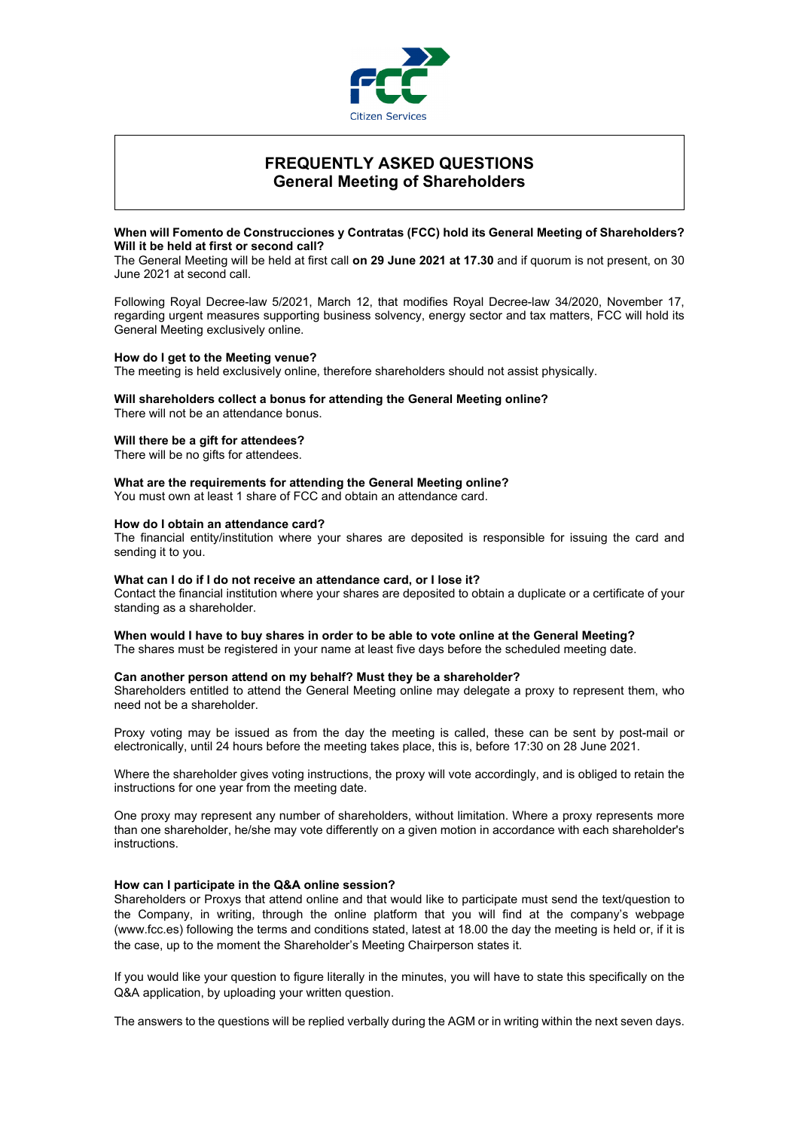

# **FREQUENTLY ASKED QUESTIONS General Meeting of Shareholders**

# **When will Fomento de Construcciones y Contratas (FCC) hold its General Meeting of Shareholders? Will it be held at first or second call?**

The General Meeting will be held at first call **on 29 June 2021 at 17.30** and if quorum is not present, on 30 June 2021 at second call.

Following Royal Decree-law 5/2021, March 12, that modifies Royal Decree-law 34/2020, November 17, regarding urgent measures supporting business solvency, energy sector and tax matters, FCC will hold its General Meeting exclusively online.

#### **How do I get to the Meeting venue?**

The meeting is held exclusively online, therefore shareholders should not assist physically.

# **Will shareholders collect a bonus for attending the General Meeting online?**

There will not be an attendance bonus.

#### **Will there be a gift for attendees?**

There will be no gifts for attendees.

# **What are the requirements for attending the General Meeting online?**

You must own at least 1 share of FCC and obtain an attendance card.

#### **How do I obtain an attendance card?**

The financial entity/institution where your shares are deposited is responsible for issuing the card and sending it to you.

#### **What can I do if I do not receive an attendance card, or I lose it?**

Contact the financial institution where your shares are deposited to obtain a duplicate or a certificate of your standing as a shareholder.

#### **When would I have to buy shares in order to be able to vote online at the General Meeting?**

The shares must be registered in your name at least five days before the scheduled meeting date.

#### **Can another person attend on my behalf? Must they be a shareholder?**

Shareholders entitled to attend the General Meeting online may delegate a proxy to represent them, who need not be a shareholder.

Proxy voting may be issued as from the day the meeting is called, these can be sent by post-mail or electronically, until 24 hours before the meeting takes place, this is, before 17:30 on 28 June 2021.

Where the shareholder gives voting instructions, the proxy will vote accordingly, and is obliged to retain the instructions for one year from the meeting date.

One proxy may represent any number of shareholders, without limitation. Where a proxy represents more than one shareholder, he/she may vote differently on a given motion in accordance with each shareholder's instructions.

#### **How can I participate in the Q&A online session?**

Shareholders or Proxys that attend online and that would like to participate must send the text/question to the Company, in writing, through the online platform that you will find at the company's webpage (www.fcc.es) following the terms and conditions stated, latest at 18.00 the day the meeting is held or, if it is the case, up to the moment the Shareholder's Meeting Chairperson states it.

If you would like your question to figure literally in the minutes, you will have to state this specifically on the Q&A application, by uploading your written question.

The answers to the questions will be replied verbally during the AGM or in writing within the next seven days.